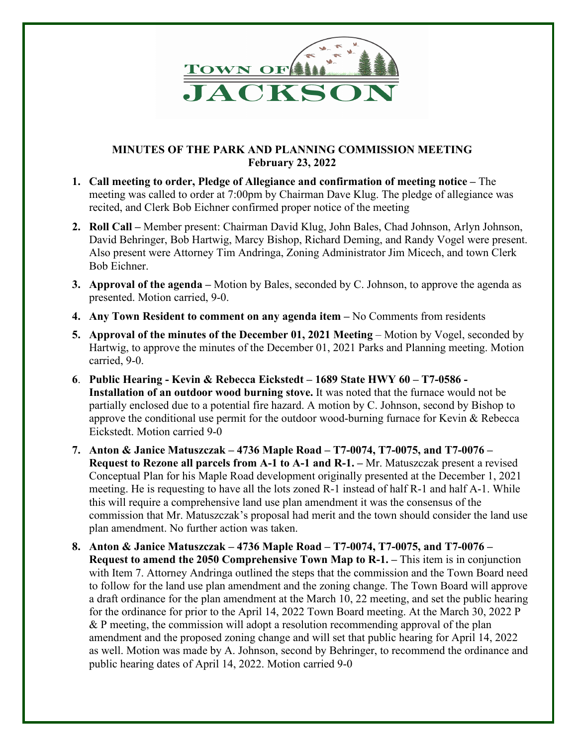

## **MINUTES OF THE PARK AND PLANNING COMMISSION MEETING February 23, 2022**

- **1. Call meeting to order, Pledge of Allegiance and confirmation of meeting notice –** The meeting was called to order at 7:00pm by Chairman Dave Klug. The pledge of allegiance was recited, and Clerk Bob Eichner confirmed proper notice of the meeting
- **2. Roll Call –** Member present: Chairman David Klug, John Bales, Chad Johnson, Arlyn Johnson, David Behringer, Bob Hartwig, Marcy Bishop, Richard Deming, and Randy Vogel were present. Also present were Attorney Tim Andringa, Zoning Administrator Jim Micech, and town Clerk Bob Eichner.
- **3. Approval of the agenda –** Motion by Bales, seconded by C. Johnson, to approve the agenda as presented. Motion carried, 9-0.
- **4. Any Town Resident to comment on any agenda item –** No Comments from residents
- **5. Approval of the minutes of the December 01, 2021 Meeting** Motion by Vogel, seconded by Hartwig, to approve the minutes of the December 01, 2021 Parks and Planning meeting. Motion carried, 9-0.
- **6**. **Public Hearing - Kevin & Rebecca Eickstedt – 1689 State HWY 60 – T7-0586 Installation of an outdoor wood burning stove.** It was noted that the furnace would not be partially enclosed due to a potential fire hazard. A motion by C. Johnson, second by Bishop to approve the conditional use permit for the outdoor wood-burning furnace for Kevin & Rebecca Eickstedt. Motion carried 9-0
- **7. Anton & Janice Matuszczak – 4736 Maple Road – T7-0074, T7-0075, and T7-0076 – Request to Rezone all parcels from A-1 to A-1 and R-1. –** Mr. Matuszczak present a revised Conceptual Plan for his Maple Road development originally presented at the December 1, 2021 meeting. He is requesting to have all the lots zoned R-1 instead of half R-1 and half A-1. While this will require a comprehensive land use plan amendment it was the consensus of the commission that Mr. Matuszczak's proposal had merit and the town should consider the land use plan amendment. No further action was taken.
- **8. Anton & Janice Matuszczak – 4736 Maple Road – T7-0074, T7-0075, and T7-0076 – Request to amend the 2050 Comprehensive Town Map to R-1. –** This item is in conjunction with Item 7. Attorney Andringa outlined the steps that the commission and the Town Board need to follow for the land use plan amendment and the zoning change. The Town Board will approve a draft ordinance for the plan amendment at the March 10, 22 meeting, and set the public hearing for the ordinance for prior to the April 14, 2022 Town Board meeting. At the March 30, 2022 P & P meeting, the commission will adopt a resolution recommending approval of the plan amendment and the proposed zoning change and will set that public hearing for April 14, 2022 as well. Motion was made by A. Johnson, second by Behringer, to recommend the ordinance and public hearing dates of April 14, 2022. Motion carried 9-0